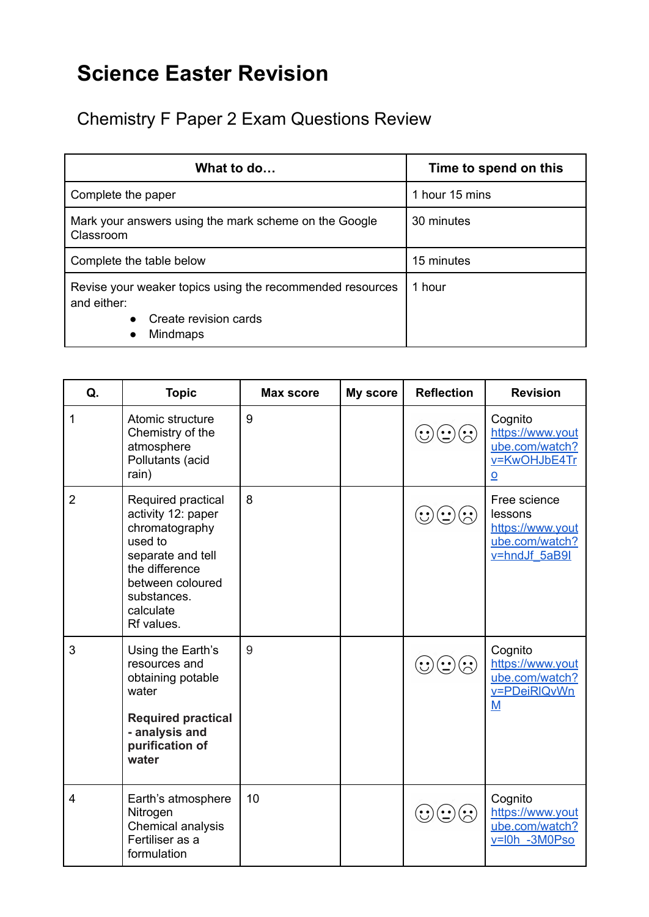## **Science Easter Revision**

Chemistry F Paper 2 Exam Questions Review

| What to do                                                                                                                                     | Time to spend on this |  |
|------------------------------------------------------------------------------------------------------------------------------------------------|-----------------------|--|
| Complete the paper                                                                                                                             | 1 hour 15 mins        |  |
| Mark your answers using the mark scheme on the Google<br>Classroom                                                                             | 30 minutes            |  |
| Complete the table below                                                                                                                       | 15 minutes            |  |
| Revise your weaker topics using the recommended resources<br>and either:<br>Create revision cards<br>$\bullet$<br><b>Mindmaps</b><br>$\bullet$ | 1 hour                |  |

| Q.             | <b>Topic</b>                                                                                                                                                               | <b>Max score</b> | My score | <b>Reflection</b>                                       | <b>Revision</b>                                                                          |
|----------------|----------------------------------------------------------------------------------------------------------------------------------------------------------------------------|------------------|----------|---------------------------------------------------------|------------------------------------------------------------------------------------------|
| 1              | Atomic structure<br>Chemistry of the<br>atmosphere<br>Pollutants (acid<br>rain)                                                                                            | 9                |          | $(\ddot{\sim})$                                         | Cognito<br>https://www.yout<br>ube.com/watch?<br>v=KwOHJbE4Tr<br>$\overline{\mathsf{O}}$ |
| $\overline{2}$ | Required practical<br>activity 12: paper<br>chromatography<br>used to<br>separate and tell<br>the difference<br>between coloured<br>substances.<br>calculate<br>Rf values. | 8                |          |                                                         | Free science<br>lessons<br>https://www.yout<br>ube.com/watch?<br>v=hndJf 5aB9I           |
| 3              | Using the Earth's<br>resources and<br>obtaining potable<br>water<br><b>Required practical</b><br>- analysis and<br>purification of<br>water                                | 9                |          | $\mathbf{C}(\mathbf{C})$<br>$\left(\ddot{\cdot}\right)$ | Cognito<br>https://www.yout<br>ube.com/watch?<br>v=PDeiRIQvWn<br>$M$                     |
| 4              | Earth's atmosphere<br>Nitrogen<br>Chemical analysis<br>Fertiliser as a<br>formulation                                                                                      | 10               |          |                                                         | Cognito<br>https://www.yout<br>ube.com/watch?<br>v=l0h -3M0Pso                           |